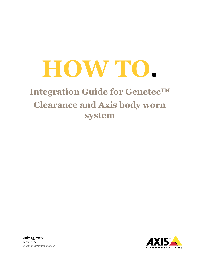# **HOW TO.**

## **Integration Guide for GenetecTM Clearance and Axis body worn system**

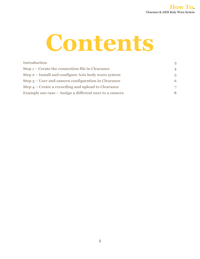

| <b>Introduction</b>                                    | 3                        |
|--------------------------------------------------------|--------------------------|
| Step 1 – Create the connection file in Clearance       | $\overline{\mathcal{A}}$ |
| Step 2 – Install and configure Axis body worn system   | 5                        |
| Step 3 – User and camera configuration in Clearance    | 6                        |
| Step 4 – Create a recording and upload to Clearance    | 7                        |
| Example use case – Assign a different user to a camera | 8                        |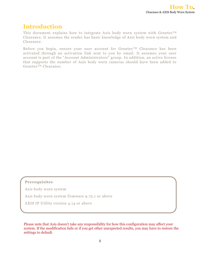### **Introduction**

This document explains how to integrate Axis body worn system with Genetec<sup>TM</sup> Clearance. It assumes the reader has basic knowledge of Axis body worn system and Clearance.

Before you begin, ensure your user account for Genetec<sup>TM</sup> Clearance has been activated through an activation link sent to you by email. It assumes your user account is part of the "Account Administrators" group. In addition, an active license that supports the number of Axis body worn cameras should have been added to GenetecTM Clearance.

#### **Prerequisites**

Axis body worn system

Axis body worn system firmware 9.75.1 or above

AXIS IP Utility version 4.14 or above

Please note that Axis doesn't take any responsibility for how this configuration may affect your system. If the modification fails or if you get other unexpected results, you may have to restore the settings to default.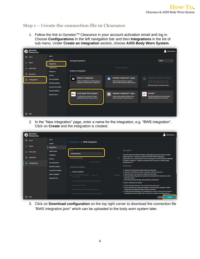#### **Step 1 – Create the connection file in Clearance**

1. Follow the link to Genetec™ Clearance in your account activation email and log in. Choose **Configurations** in the left navigation bar and then **Integrations** in the list of sub menu. Under **Create an integration** section, choose **AXIS Body Worn System**.

|    | Genetec<br>Clearance. |                                                                                     | 2.<br>DemoUser -                                                                                                                                                                                                                                                                                                                                                                                                                     |
|----|-----------------------|-------------------------------------------------------------------------------------|--------------------------------------------------------------------------------------------------------------------------------------------------------------------------------------------------------------------------------------------------------------------------------------------------------------------------------------------------------------------------------------------------------------------------------------|
| ⋒  | Home                  | <b>Users</b>                                                                        |                                                                                                                                                                                                                                                                                                                                                                                                                                      |
| Q  | Search                | <b>Groups</b><br>Integrations                                                       | Active<br><b>Existing integrations</b><br>$\overline{\phantom{a}}$                                                                                                                                                                                                                                                                                                                                                                   |
| 囸  | Video editor          | <b>Departments</b><br>Categories                                                    | No active integrations<br>Create an integration                                                                                                                                                                                                                                                                                                                                                                                      |
| Ŵ. | Recycle bin           | <b>Devices</b>                                                                      |                                                                                                                                                                                                                                                                                                                                                                                                                                      |
| ö  | <b>Configurations</b> | <b>Security policies</b><br><b>Retention policies</b><br><b>Account information</b> | Generic integration<br>Genetec Clearance™ plugi<br>Genetec Clearance™ Vide<br>Û<br>Ø<br>ଇ<br>Create an integration for an external device or<br>With the Genetec Clearance" plugin for<br>With the Video Request plugin, you can<br>application so that the device or application i<br>Security Center operators can export Securit<br>publish a list of Genetec Security Center.<br><b>O</b> Contact support to enable this feature |
|    |                       | <b>Report templates</b><br><b>Request forms</b>                                     | AXIS Body Worn System<br>Genetec Clearance™ Uplo<br>Reveal™<br>$\geq$<br>Ø<br>AXIS A<br>The AXIS body worn solution includes a<br>Use this app to upload files directly to your<br>With the Reveal Body Worn Video Cameras<br>lightweight and robust camera, docking<br>Genetec Clearance" account from your<br>integration, organizations can securely                                                                              |
| ิค | Help                  |                                                                                     |                                                                                                                                                                                                                                                                                                                                                                                                                                      |

2. In the "New integration" page, enter a name for the integration, e.g. "BWS integration". Click on **Create** and the integration is created.

| Genetec<br>learance.        |                                                       |                                                                                                    | DemoUser,                                                                                                                                                                                                                                                                                                                   |  |  |
|-----------------------------|-------------------------------------------------------|----------------------------------------------------------------------------------------------------|-----------------------------------------------------------------------------------------------------------------------------------------------------------------------------------------------------------------------------------------------------------------------------------------------------------------------------|--|--|
| Home                        | <b>Users</b><br><b>Groups</b>                         | Integrations $\rightarrow$ BWS integration                                                         |                                                                                                                                                                                                                                                                                                                             |  |  |
| Q.<br>Search                | <b>Integrations</b>                                   |                                                                                                    |                                                                                                                                                                                                                                                                                                                             |  |  |
| Video editor<br>回           | <b>Departments</b><br>Categories                      | Name<br><b>BWS</b> integration                                                                     | Description<br>The AXIS body worn solution includes a lightweight and robust camera, docking                                                                                                                                                                                                                                |  |  |
| <b>Recycle bin</b>          | <b>Devices</b>                                        | Assigned groups                                                                                    | stations (8-bay or 1-bay), and a system controller. With the integration,<br>organizations can securely transfer video recordings from AXIS Body Worn Manager<br>to Genetec Clearance". All data is encrypted both at rest and in transfer using                                                                            |  |  |
| <b>Configurations</b><br>õ. | <b>Security policies</b><br><b>Retention policies</b> | No group selected<br>Assigned privileges                                                           | AES256 and TLS.<br>Installation                                                                                                                                                                                                                                                                                             |  |  |
|                             | <b>Account information</b>                            | $\triangle$ Security policies                                                                      | 1. Install the AXIS Body Worn System hardware components.<br>2. Create the AXIS Body Worn System integration in Genetec Clearance".                                                                                                                                                                                         |  |  |
|                             | <b>Report templates</b><br><b>Request forms</b>       | $\blacktriangleright$ Access files not associated<br>Permitted<br>View only<br>with any case       | 3. Enter the name of your body worn system and click Create.<br>4. Click Download configuration to download the connection file (*.json) for your AXIS<br><b>Body Worn System.</b><br>5. Start AXIS Body Worn Manager and upload the connection file.                                                                       |  |  |
|                             |                                                       | Access audit trail and create eDiscovery receipt<br>Delete cases and files                         | To add an AXIS body worn camera:<br>1. Create a Genetec Clearance" user account for the camera user.                                                                                                                                                                                                                        |  |  |
|                             |                                                       | Restore cases and files from the recycle bin<br>Protect or unprotect cases and files from deletion | 2. Dock a new body worn camera and register it in AXIS Body Worn Manager. It will be<br>detected and automatically added to Genetec Clearance".<br>3. In AXIS Body Worn Manager, go to Configurations > Devices and locate the camera by<br>searching for its serial number. Note: You must be a member of a Manage devices |  |  |
| ิค<br>Help                  |                                                       |                                                                                                    | Cancel<br>Create                                                                                                                                                                                                                                                                                                            |  |  |

3. Click on **Download configuration** on the top right corner to download the connection file "BWS integration.json" which can be uploaded to the body worn system later.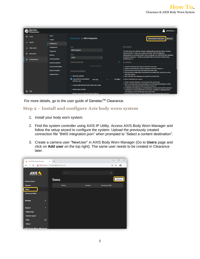| Genetec<br>Clearance. |                                                       |                                                                                      |                  | DemoUser -                                                                                                                                                                                                                                                                                                                                           |  |
|-----------------------|-------------------------------------------------------|--------------------------------------------------------------------------------------|------------------|------------------------------------------------------------------------------------------------------------------------------------------------------------------------------------------------------------------------------------------------------------------------------------------------------------------------------------------------------|--|
| Home                  | <b>Users</b><br><b>Groups</b>                         | Integrations $\rightarrow$ BWS integration                                           |                  | La Download configuration<br><b>m</b> Delete                                                                                                                                                                                                                                                                                                         |  |
| O.<br>Search          | <b>Integrations</b>                                   |                                                                                      |                  |                                                                                                                                                                                                                                                                                                                                                      |  |
| Video editor<br>回     | <b>Departments</b>                                    | Name<br><b>BWS</b> integration                                                       |                  | Description                                                                                                                                                                                                                                                                                                                                          |  |
| <b>Recycle bin</b>    | Categories<br><b>Devices</b>                          | <b>Status</b>                                                                        |                  | The AXIS body worn solution includes a lightweight and robust camera, docking<br>stations (8-bay or 1-bay), and a system controller. With the integration,<br>organizations can securely transfer video recordings from AXIS Body Worn Manager<br>to Genetec Clearance". All data is encrypted both at rest and in transfer using<br>AES256 and TLS. |  |
| Configurations        | <b>Security policies</b>                              | Active                                                                               | ۰                |                                                                                                                                                                                                                                                                                                                                                      |  |
|                       | <b>Retention policies</b>                             | Assigned groups                                                                      |                  | Installation                                                                                                                                                                                                                                                                                                                                         |  |
|                       | <b>Account information</b><br><b>Report templates</b> | No group selected<br>Assigned privileges                                             |                  | 1. Install the AXIS Body Worn System hardware components.<br>2. Create the AXIS Body Worn System integration in Genetec Clearance".<br>3. Enter the name of your body worn system and click Create.                                                                                                                                                  |  |
|                       | <b>Request forms</b>                                  | $\triangle$ Security policies                                                        |                  | 4. Click Download configuration to download the connection file (*.json) for your AXIS<br><b>Body Worn System.</b><br>5. Start AXIS Body Worn Manager and upload the connection file.                                                                                                                                                                |  |
|                       |                                                       | $\vee$ Access files not associated<br>View only<br>with any case                     | <b>Permitted</b> | To add an AXIS body worn camera:                                                                                                                                                                                                                                                                                                                     |  |
|                       |                                                       | Access audit trail and create eDiscovery receipt                                     |                  | 1. Create a Genetec Clearance" user account for the camera user.<br>2. Dock a new body worn camera and register it in AXIS Body Worn Manager. It will be<br>detected and automatically added to Genetec Clearance".                                                                                                                                  |  |
| ิค<br>Help            |                                                       | $\Box$ Delete cases and files<br>$\Box$ Restore cases and files from the recycle bin |                  | 3. In AXIS Body Worn Manager, go to Configurations > Devices and locate the camera by<br>searching for its serial number. Note: You must be a member of a Manage devices<br>security policy or have the Manage devices permission.<br>4. Activate the device license. For more information, see Activating device licenses                           |  |

For more details, go to the user guide of Genetec™ Clearance.

#### **Step 2 – Install and configure Axis body worn system**

- 1. Install your body worn system.
- 2. Find the system controller using AXIS IP Utility. Access AXIS Body Worn Manager and follow the setup wizard to configure the system. Upload the previously created connection file "BWS integration.json" when prompted to "Select a content destination".
- 3. Create a camera user "NewUser" in AXIS Body Worn Manager (Go to **Users** page and click on **Add user** on the top right). The same user needs to be created in Clearance later.

| A AXIS Body Worn Manager                                                  | $\times$ + |             |               | $\times$<br>$\Box$<br>$\qquad \qquad -$    |
|---------------------------------------------------------------------------|------------|-------------|---------------|--------------------------------------------|
| $\leftarrow$ $\rightarrow$ C <b>A</b> Not secure   172.25.164.77/?#/users |            |             |               | $\boldsymbol{\Theta}$<br>07 ☆<br>$\cdot$ : |
| <b>AXIS</b>                                                               |            | Search      |               | Q                                          |
| <b>System status</b>                                                      | Users.     |             |               | Add user                                   |
| <b>Devices</b>                                                            |            | <b>Name</b> | <b>Camera</b> | Camera profile                             |
| <b>Users</b>                                                              |            |             |               |                                            |
| <b>Camera profiles</b>                                                    |            |             |               |                                            |
| <b>Settings</b><br>$\ddot{}$                                              |            |             |               |                                            |
| <b>Support</b>                                                            |            |             |               |                                            |
| <b>Master key</b>                                                         |            |             |               |                                            |
| <b>System report</b>                                                      |            |             |               |                                            |
| ビ<br><b>Help</b>                                                          |            |             |               |                                            |
| <b>About</b>                                                              |            |             |               |                                            |
| <b>AXIS Rody Worn Manager</b>                                             |            |             |               |                                            |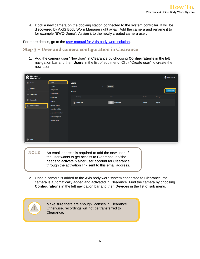4. Dock a new camera on the docking station connected to the system controller. It will be discovered by AXIS Body Worn Manager right away. Add the camera and rename it to for example "BWC-Demo". Assign it to the newly created camera user.

For more details, go to the [user manual for Axis body worn solution.](https://www.axis.com/products/online-manual/58704)

#### **Step 3 – User and camera configuration in Clearance**

1. Add the camera user "NewUser" in Clearance by choosing **Configurations** in the left navigation bar and then **Users** in the list of sub menu. Click "Create user" to create the new user.

|           | Genetec<br>Clearance. |                                                       |                   |                      |               | DemoUser $\blacktriangleright$ |
|-----------|-----------------------|-------------------------------------------------------|-------------------|----------------------|---------------|--------------------------------|
| ₩         | Home                  | <b>Users</b>                                          | <b>Users</b>      |                      |               |                                |
| $\alpha$  | Search                | <b>Groups</b>                                         | DemoUser          | $\alpha$<br>Active ~ |               |                                |
|           |                       | Integrations                                          | 1 user            |                      |               | Create user                    |
|           | Video editor          | Departments                                           | Name 1            | Email                | <b>Status</b> | User type                      |
|           | $\hat{m}$ Recycle bin | Categories                                            |                   |                      |               |                                |
|           |                       | <b>Devices</b>                                        | <b>A</b> DemoUser | @axis.com            | Active        | Regular                        |
|           | Configurations        | <b>Security policies</b><br><b>Retention policies</b> |                   |                      |               |                                |
|           |                       | <b>Account information</b>                            |                   |                      |               |                                |
|           |                       | <b>Report templates</b>                               |                   |                      |               |                                |
|           |                       | <b>Request forms</b>                                  |                   |                      |               |                                |
|           |                       |                                                       |                   |                      |               |                                |
|           |                       |                                                       |                   |                      |               |                                |
|           |                       |                                                       |                   |                      |               |                                |
|           |                       |                                                       |                   |                      |               |                                |
| $\bullet$ | Help                  |                                                       |                   |                      |               |                                |
|           |                       |                                                       |                   |                      |               |                                |

- **NOTE** An email address is required to add the new user. If the user wants to get access to Clearance, he/she needs to activate his/her user account for Clearance through the activation link sent to this email address.
- 2. Once a camera is added to the Axis body worn system connected to Clearance, the camera is automatically added and activated in Clearance. Find the camera by choosing **Configurations** in the left navigation bar and then **Devices** in the list of sub menu.

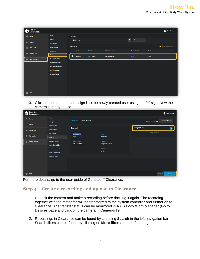| Genetec<br>Clearance.                |                                                         |                   |                 |               |                               | DemoUser $\sim$                   |
|--------------------------------------|---------------------------------------------------------|-------------------|-----------------|---------------|-------------------------------|-----------------------------------|
| 备<br>Home                            | <b>Users</b>                                            | <b>Devices</b>    |                 |               |                               |                                   |
| $\alpha$<br>Search                   | <b>Groups</b><br>Integrations                           | <b>BWC-Demo</b>   |                 |               | $\alpha$<br>Search criteria v |                                   |
| Video editor<br>$\qquad \qquad \Box$ | <b>Departments</b>                                      | 1 device<br>State | Name            | Serial number | Manufacturer                  | A Activated devices: 3/5<br>Model |
| û<br>Recycle bin                     | Categories<br><b>Devices</b>                            | 0<br>Activated    | <b>BWC-Demo</b> | B8A44F04DF2A  | Axis                          | W100                              |
| Configurations<br>₩                  | <b>Security policies</b>                                |                   |                 |               |                               |                                   |
|                                      | <b>Retention policies</b><br><b>Account information</b> |                   |                 |               |                               |                                   |
|                                      | <b>Report templates</b>                                 |                   |                 |               |                               |                                   |
|                                      | <b>Request forms</b>                                    |                   |                 |               |                               |                                   |
|                                      |                                                         |                   |                 |               |                               |                                   |
|                                      |                                                         |                   |                 |               |                               |                                   |
| $\bullet$<br>Help                    |                                                         |                   |                 |               |                               |                                   |

3. Click on the camera and assign it to the newly created user using the "**+**" sign. Now the camera is ready to use.

| Genetec<br>Clearance. |                                                       |                               |                                 |                        | DemoUser $\sim$           |
|-----------------------|-------------------------------------------------------|-------------------------------|---------------------------------|------------------------|---------------------------|
| ₩<br>Home             | <b>Users</b><br><b>Groups</b>                         | Devices > BWC-Demo /          |                                 | Activated devices: 2/5 | <b>Deactivate license</b> |
| $\alpha$<br>Search    | Integrations                                          | General                       |                                 | Assigned to            | œ                         |
| Video editor<br>$\Xi$ | <b>Departments</b><br>Categories                      | Manufacturer                  | State                           | No assigned users      |                           |
| 血<br>Recycle bin      | <b>Devices</b>                                        | Axis                          | Activated                       |                        |                           |
| ₩<br>Configurations   | <b>Security policies</b><br><b>Retention policies</b> | Serial number<br>B8A44F04DF2A | Device type<br>Body-worn camera |                        |                           |
|                       | <b>Account information</b>                            |                               | Model<br><b>W100</b>            |                        |                           |
|                       | <b>Report templates</b><br><b>Request forms</b>       |                               |                                 |                        |                           |
|                       |                                                       |                               |                                 |                        |                           |
|                       |                                                       |                               |                                 |                        |                           |
| ℯ<br>Help             |                                                       |                               |                                 |                        | Cancel<br>Save            |

For more details, go to the user guide of Genetec™ Clearance.

#### **Step 4 – Create a recording and upload to Clearance**

- 1. Undock the camera and make a recording before docking it again. The recording together with the metadata will be transferred to the system controller and further on to Clearance. The transfer status can be monitored in AXIS Body Worn Manager (Go to Devices page and click on the camera in Cameras list).
- 2. Recordings in Clearance can be found by choosing **Search** in the left navigation bar. Search filters can be found by clicking on **More filters** on top of the page.